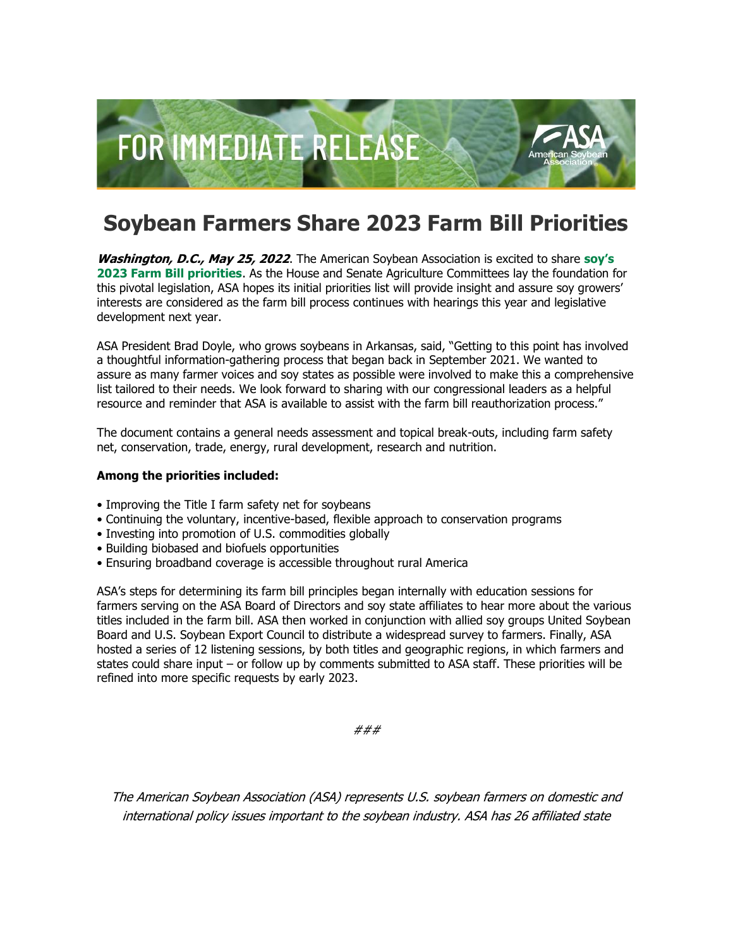

## **Soybean Farmers Share 2023 Farm Bill Priorities**

**Washington, D.C., May 25, 2022**. The American Soybean Association is excited to share **[soy's](http://asa.informz.net/z/cjUucD9taT0xMDYwNTY5OCZwPTEmdT0xMTQ0OTc2Mjg0JmxpPTk1MjAzNDk3/index.html)  [2023 Farm Bill priorities](http://asa.informz.net/z/cjUucD9taT0xMDYwNTY5OCZwPTEmdT0xMTQ0OTc2Mjg0JmxpPTk1MjAzNDk3/index.html)**. As the House and Senate Agriculture Committees lay the foundation for this pivotal legislation, ASA hopes its initial priorities list will provide insight and assure soy growers' interests are considered as the farm bill process continues with hearings this year and legislative development next year.

ASA President Brad Doyle, who grows soybeans in Arkansas, said, "Getting to this point has involved a thoughtful information-gathering process that began back in September 2021. We wanted to assure as many farmer voices and soy states as possible were involved to make this a comprehensive list tailored to their needs. We look forward to sharing with our congressional leaders as a helpful resource and reminder that ASA is available to assist with the farm bill reauthorization process."

The document contains a general needs assessment and topical break-outs, including farm safety net, conservation, trade, energy, rural development, research and nutrition.

## **Among the priorities included:**

- Improving the Title I farm safety net for soybeans
- Continuing the voluntary, incentive-based, flexible approach to conservation programs
- Investing into promotion of U.S. commodities globally
- Building biobased and biofuels opportunities
- Ensuring broadband coverage is accessible throughout rural America

ASA's steps for determining its farm bill principles began internally with education sessions for farmers serving on the ASA Board of Directors and soy state affiliates to hear more about the various titles included in the farm bill. ASA then worked in conjunction with allied soy groups United Soybean Board and U.S. Soybean Export Council to distribute a widespread survey to farmers. Finally, ASA hosted a series of 12 listening sessions, by both titles and geographic regions, in which farmers and states could share input – or follow up by comments submitted to ASA staff. These priorities will be refined into more specific requests by early 2023.

###

The American Soybean Association (ASA) represents U.S. soybean farmers on domestic and international policy issues important to the soybean industry. ASA has 26 affiliated state